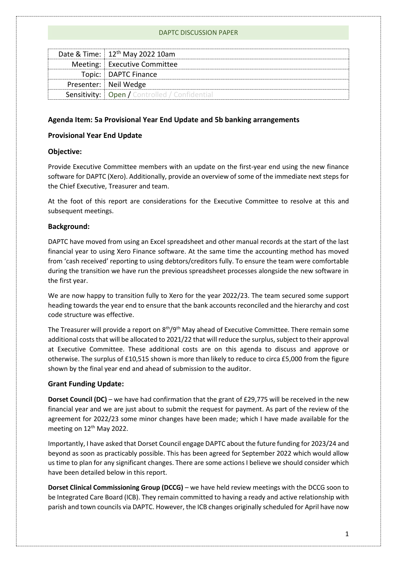|  | Date & Time: 12 <sup>th</sup> May 2022 10am            |
|--|--------------------------------------------------------|
|  | Meeting: Executive Committee                           |
|  | Topic:   DAPTC Finance                                 |
|  | Presenter: Neil Wedge                                  |
|  | <b>Sensitivity:   Open / Controlled / Confidential</b> |
|  |                                                        |

## **Agenda Item: 5a Provisional Year End Update and 5b banking arrangements**

## **Provisional Year End Update**

## **Objective:**

Provide Executive Committee members with an update on the first-year end using the new finance software for DAPTC (Xero). Additionally, provide an overview of some of the immediate next steps for the Chief Executive, Treasurer and team.

At the foot of this report are considerations for the Executive Committee to resolve at this and subsequent meetings.

## **Background:**

DAPTC have moved from using an Excel spreadsheet and other manual records at the start of the last financial year to using Xero Finance software. At the same time the accounting method has moved from 'cash received' reporting to using debtors/creditors fully. To ensure the team were comfortable during the transition we have run the previous spreadsheet processes alongside the new software in the first year.

We are now happy to transition fully to Xero for the year 2022/23. The team secured some support heading towards the year end to ensure that the bank accounts reconciled and the hierarchy and cost code structure was effective.

The Treasurer will provide a report on  $8<sup>th</sup>/9<sup>th</sup>$  May ahead of Executive Committee. There remain some additional costs that will be allocated to 2021/22 that will reduce the surplus, subject to their approval at Executive Committee. These additional costs are on this agenda to discuss and approve or otherwise. The surplus of £10,515 shown is more than likely to reduce to circa £5,000 from the figure shown by the final year end and ahead of submission to the auditor.

## **Grant Funding Update:**

**Dorset Council (DC)** – we have had confirmation that the grant of £29,775 will be received in the new financial year and we are just about to submit the request for payment. As part of the review of the agreement for 2022/23 some minor changes have been made; which I have made available for the meeting on 12<sup>th</sup> May 2022.

Importantly, I have asked that Dorset Council engage DAPTC about the future funding for 2023/24 and beyond as soon as practicably possible. This has been agreed for September 2022 which would allow us time to plan for any significant changes. There are some actions I believe we should consider which have been detailed below in this report.

**Dorset Clinical Commissioning Group (DCCG)** – we have held review meetings with the DCCG soon to be Integrated Care Board (ICB). They remain committed to having a ready and active relationship with parish and town councils via DAPTC. However, the ICB changes originally scheduled for April have now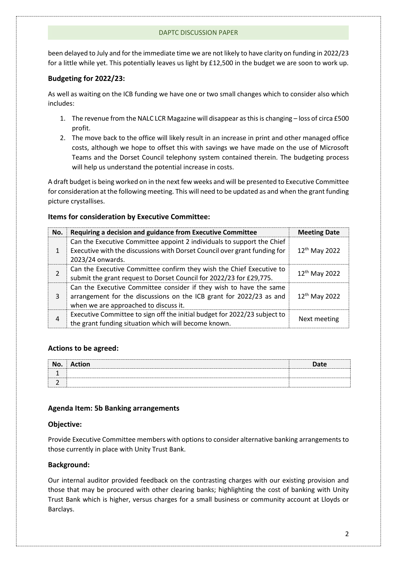been delayed to July and for the immediate time we are not likely to have clarity on funding in 2022/23 for a little while yet. This potentially leaves us light by £12,500 in the budget we are soon to work up.

#### **Budgeting for 2022/23:**

As well as waiting on the ICB funding we have one or two small changes which to consider also which includes:

- 1. The revenue from the NALC LCR Magazine will disappear as this is changing loss of circa £500 profit.
- 2. The move back to the office will likely result in an increase in print and other managed office costs, although we hope to offset this with savings we have made on the use of Microsoft Teams and the Dorset Council telephony system contained therein. The budgeting process will help us understand the potential increase in costs.

A draft budget is being worked on in the next few weeks and will be presented to Executive Committee for consideration at the following meeting. This will need to be updated as and when the grant funding picture crystallises.

#### **Items for consideration by Executive Committee:**

| No. | Requiring a decision and guidance from Executive Committee                                                                                                                         | <b>Meeting Date</b>       |
|-----|------------------------------------------------------------------------------------------------------------------------------------------------------------------------------------|---------------------------|
| 1   | Can the Executive Committee appoint 2 individuals to support the Chief<br>Executive with the discussions with Dorset Council over grant funding for<br>2023/24 onwards.            | 12 <sup>th</sup> May 2022 |
| 2   | Can the Executive Committee confirm they wish the Chief Executive to<br>submit the grant request to Dorset Council for 2022/23 for £29,775.                                        | 12 <sup>th</sup> May 2022 |
| 3   | Can the Executive Committee consider if they wish to have the same<br>arrangement for the discussions on the ICB grant for 2022/23 as and<br>when we are approached to discuss it. | $12^{th}$ May 2022        |
| 4   | Executive Committee to sign off the initial budget for 2022/23 subject to<br>the grant funding situation which will become known.                                                  | Next meeting              |

#### **Actions to be agreed:**

| No. | <b>Action</b> | <b>Date</b> |
|-----|---------------|-------------|
|     |               |             |
|     |               |             |

#### **Agenda Item: 5b Banking arrangements**

#### **Objective:**

Provide Executive Committee members with options to consider alternative banking arrangements to those currently in place with Unity Trust Bank.

#### **Background:**

Our internal auditor provided feedback on the contrasting charges with our existing provision and those that may be procured with other clearing banks; highlighting the cost of banking with Unity Trust Bank which is higher, versus charges for a small business or community account at Lloyds or Barclays.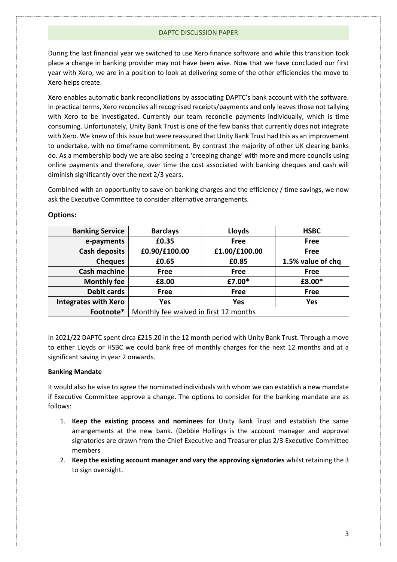During the last financial year we switched to use Xero finance software and while this transition took place a change in banking provider may not have been wise. Now that we have concluded our first year with Xero, we are in a position to look at delivering some of the other efficiencies the move to Xero helps create.

Xero enables automatic bank reconciliations by associating DAPTC's bank account with the software. In practical terms, Xero reconciles all recognised receipts/payments and only leaves those not tallying with Xero to be investigated. Currently our team reconcile payments individually, which is time consuming. Unfortunately, Unity Bank Trust is one of the few banks that currently does not integrate with Xero. We knew of this issue but were reassured that Unity Bank Trust had this as an improvement to undertake, with no timeframe commitment. By contrast the majority of other UK clearing banks do. As a membership body we are also seeing a 'creeping change' with more and more councils using online payments and therefore, over time the cost associated with banking cheques and cash will diminish significantly over the next 2/3 years.

Combined with an opportunity to save on banking charges and the efficiency / time savings, we now ask the Executive Committee to consider alternative arrangements.

| <b>Banking Service</b>      | <b>Barclays</b>                       | Lloyds        | <b>HSBC</b>       |
|-----------------------------|---------------------------------------|---------------|-------------------|
| e-payments                  | £0.35                                 | <b>Free</b>   | Free              |
| <b>Cash deposits</b>        | £0.90/£100.00                         | £1.00/£100.00 | Free              |
| <b>Cheques</b>              | £0.65                                 | £0.85         | 1.5% value of chq |
| <b>Cash machine</b>         | <b>Free</b>                           | <b>Free</b>   | <b>Free</b>       |
| <b>Monthly fee</b>          | £8.00                                 | £7.00*        | £8.00*            |
| <b>Debit cards</b>          | <b>Free</b>                           | <b>Free</b>   | Free              |
| <b>Integrates with Xero</b> | <b>Yes</b>                            | Yes           | Yes               |
| Footnote*                   | Monthly fee waived in first 12 months |               |                   |

## **Options:**

In 2021/22 DAPTC spent circa £215.20 in the 12 month period with Unity Bank Trust. Through a move to either Lloyds or HSBC we could bank free of monthly charges for the next 12 months and at a significant saving in year 2 onwards.

#### **Banking Mandate**

It would also be wise to agree the nominated individuals with whom we can establish a new mandate if Executive Committee approve a change. The options to consider for the banking mandate are as follows:

- 1. **Keep the existing process and nominees** for Unity Bank Trust and establish the same arrangements at the new bank. (Debbie Hollings is the account manager and approval signatories are drawn from the Chief Executive and Treasurer plus 2/3 Executive Committee members
- 2. **Keep the existing account manager and vary the approving signatories** whilst retaining the 3 to sign oversight.